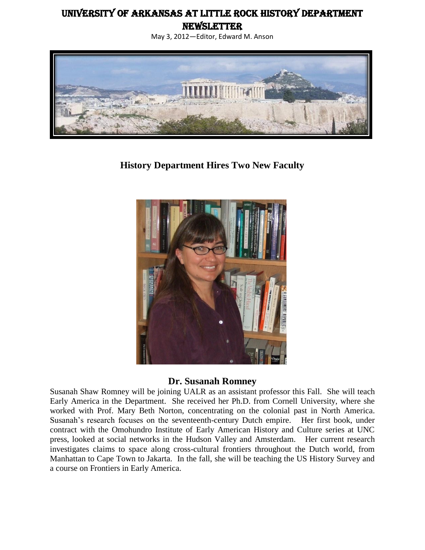# University of Arkansas at Little Rock History Department

**NEWSLETTER** 





**History Department Hires Two New Faculty**



#### **Dr. Susanah Romney**

Susanah Shaw Romney will be joining UALR as an assistant professor this Fall. She will teach Early America in the Department. She received her Ph.D. from Cornell University, where she worked with Prof. Mary Beth Norton, concentrating on the colonial past in North America. Susanah's research focuses on the seventeenth-century Dutch empire. Her first book, under contract with the Omohundro Institute of Early American History and Culture series at UNC press, looked at social networks in the Hudson Valley and Amsterdam. Her current research investigates claims to space along cross-cultural frontiers throughout the Dutch world, from Manhattan to Cape Town to Jakarta. In the fall, she will be teaching the US History Survey and a course on Frontiers in Early America.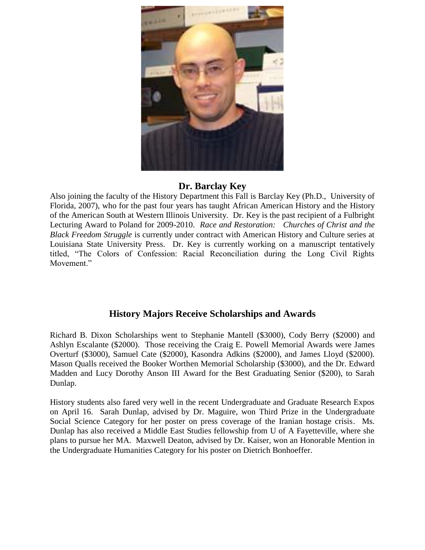

## **Dr. Barclay Key**

Also joining the faculty of the History Department this Fall is Barclay Key (Ph.D., University of Florida, 2007), who for the past four years has taught African American History and the History of the American South at Western Illinois University. Dr. Key is the past recipient of a Fulbright Lecturing Award to Poland for 2009-2010. *Race and Restoration: Churches of Christ and the Black Freedom Struggle* is currently under contract with American History and Culture series at Louisiana State University Press. Dr. Key is currently working on a manuscript tentatively titled, "The Colors of Confession: Racial Reconciliation during the Long Civil Rights Movement."

## **History Majors Receive Scholarships and Awards**

Richard B. Dixon Scholarships went to Stephanie Mantell (\$3000), Cody Berry (\$2000) and Ashlyn Escalante (\$2000). Those receiving the Craig E. Powell Memorial Awards were James Overturf (\$3000), Samuel Cate (\$2000), Kasondra Adkins (\$2000), and James Lloyd (\$2000). Mason Qualls received the Booker Worthen Memorial Scholarship (\$3000), and the Dr. Edward Madden and Lucy Dorothy Anson III Award for the Best Graduating Senior (\$200), to Sarah Dunlap.

History students also fared very well in the recent Undergraduate and Graduate Research Expos on April 16. Sarah Dunlap, advised by Dr. Maguire, won Third Prize in the Undergraduate Social Science Category for her poster on press coverage of the Iranian hostage crisis. Ms. Dunlap has also received a Middle East Studies fellowship from U of A Fayetteville, where she plans to pursue her MA. Maxwell Deaton, advised by Dr. Kaiser, won an Honorable Mention in the Undergraduate Humanities Category for his poster on Dietrich Bonhoeffer.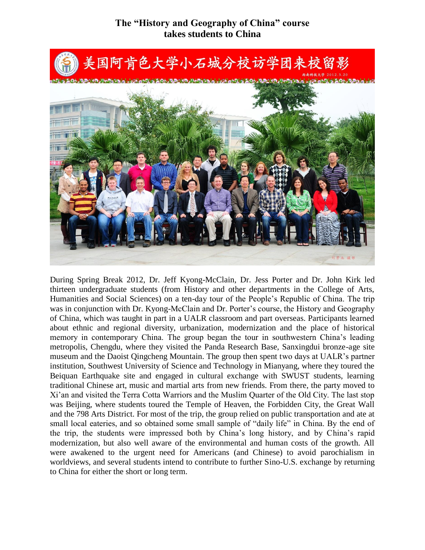## **The "History and Geography of China" course takes students to China**



During Spring Break 2012, Dr. Jeff Kyong-McClain, Dr. Jess Porter and Dr. John Kirk led thirteen undergraduate students (from History and other departments in the College of Arts, Humanities and Social Sciences) on a ten-day tour of the People's Republic of China. The trip was in conjunction with Dr. Kyong-McClain and Dr. Porter's course, the History and Geography of China, which was taught in part in a UALR classroom and part overseas. Participants learned about ethnic and regional diversity, urbanization, modernization and the place of historical memory in contemporary China. The group began the tour in southwestern China's leading metropolis, Chengdu, where they visited the Panda Research Base, Sanxingdui bronze-age site museum and the Daoist Qingcheng Mountain. The group then spent two days at UALR's partner institution, Southwest University of Science and Technology in Mianyang, where they toured the Beiquan Earthquake site and engaged in cultural exchange with SWUST students, learning traditional Chinese art, music and martial arts from new friends. From there, the party moved to Xi'an and visited the Terra Cotta Warriors and the Muslim Quarter of the Old City. The last stop was Beijing, where students toured the Temple of Heaven, the Forbidden City, the Great Wall and the 798 Arts District. For most of the trip, the group relied on public transportation and ate at small local eateries, and so obtained some small sample of "daily life" in China. By the end of the trip, the students were impressed both by China's long history, and by China's rapid modernization, but also well aware of the environmental and human costs of the growth. All were awakened to the urgent need for Americans (and Chinese) to avoid parochialism in worldviews, and several students intend to contribute to further Sino-U.S. exchange by returning to China for either the short or long term.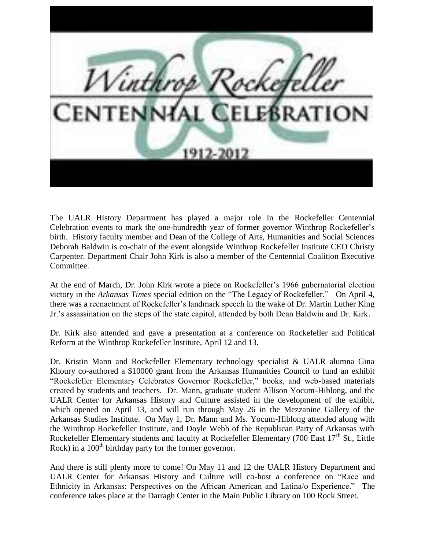

The UALR History Department has played a major role in the Rockefeller Centennial Celebration events to mark the one-hundredth year of former governor Winthrop Rockefeller's birth. History faculty member and Dean of the College of Arts, Humanities and Social Sciences Deborah Baldwin is co-chair of the event alongside Winthrop Rockefeller Institute CEO Christy Carpenter. Department Chair John Kirk is also a member of the Centennial Coalition Executive Committee.

At the end of March, Dr. John Kirk wrote a piece on [Rockefeller's 1966 gubernatorial election](http://www.arktimes.com/arkansas/the-election-that-changed-arkansas-politics/Content?oid=2140398)  [victory](http://www.arktimes.com/arkansas/the-election-that-changed-arkansas-politics/Content?oid=2140398) in the *Arkansas Times* special edition on the ["The Legacy of Rockefeller."](http://www.arktimes.com/arkansas/IssueArchives?issue=2139947) On April 4, there was a [reenactment of Rockefeller's landmark speech](http://www.todaysthv.com/news/article/205447/2/Reenactment-of-Rockefeller-MLK-tribute) in the wake of Dr. Martin Luther King Jr.'s assassination on the steps of the state capitol, attended by both Dean Baldwin and Dr. Kirk.

Dr. Kirk also attended and [gave a presentation](http://www.facebook.com/photo.php?fbid=10150664572198107&set=a.10150664565478107.392885.50003728106&type=3&theater) at a conference on [Rockefeller and Political](http://www.livethelegacy.org/educational-programs/civic-engagement/wri-conference-on-political-reform)  [Reform](http://www.livethelegacy.org/educational-programs/civic-engagement/wri-conference-on-political-reform) at the Winthrop Rockefeller Institute, April 12 and 13.

Dr. Kristin Mann and Rockefeller Elementary technology specialist & UALR alumna Gina Khoury co-authored a \$10000 grant from the Arkansas Humanities Council to fund an exhibit "Rockefeller Elementary Celebrates Governor Rockefeller," books, and web-based materials created by students and teachers. Dr. Mann, graduate student Allison Yocum-Hiblong, and the UALR Center for Arkansas History and Culture assisted in the development of the exhibit, which opened on April 13, and will run through May 26 in the Mezzanine Gallery of the Arkansas Studies Institute. On May 1, Dr. Mann and Ms. Yocum-Hiblong attended along with the Winthrop Rockefeller Institute, and Doyle Webb of the Republican Party of Arkansas with Rockefeller Elementary students and faculty at Rockefeller Elementary (700 East  $17<sup>th</sup>$  St., Little Rock) in a  $100<sup>th</sup>$  birthday party for the former governor.

And there is still plenty more to come! On May 11 and 12 the [UALR History Department](http://www.ualr.edu/history/) and UALR Center for Arkansas History and Culture will co-host a conference on ["Race and](http://www.ualrexhibits.org/rockefeller/events/race-and-ethnicity-in-arkansas-perspectives-on-the-african-american-and-latinao-experience/)  [Ethnicity in Arkansas: Perspectives on the African American and Latina/o Experience."](http://www.ualrexhibits.org/rockefeller/events/race-and-ethnicity-in-arkansas-perspectives-on-the-african-american-and-latinao-experience/) The conference takes place at the Darragh Center in the Main Public Library on 100 Rock Street.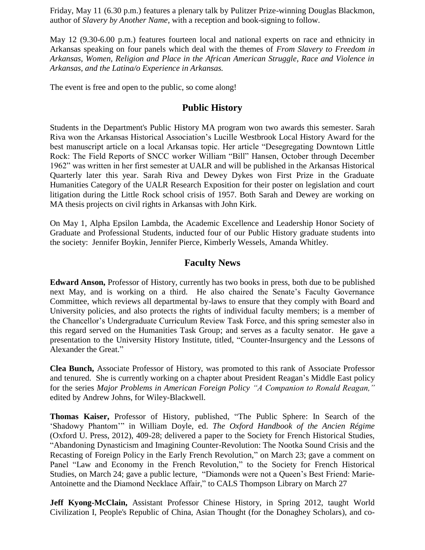Friday, May 11 (6.30 p.m.) features a plenary talk by Pulitzer Prize-winning Douglas Blackmon, author of *Slavery by Another Name,* with a reception and book-signing to follow.

May 12 (9.30-6.00 p.m.) features fourteen local and national experts on race and ethnicity in Arkansas speaking on four panels which deal with the themes of *From Slavery to Freedom in Arkansas, Women, Religion and Place in the African American Struggle, Race and Violence in Arkansas, and the Latina/o Experience in Arkansas.*

The event is free and open to the public, so come along!

## **Public History**

Students in the Department's Public History MA program won two awards this semester. Sarah Riva won the Arkansas Historical Association's Lucille Westbrook Local History Award for the best manuscript article on a local Arkansas topic. Her article "Desegregating Downtown Little Rock: The Field Reports of SNCC worker William "Bill" Hansen, October through December 1962" was written in her first semester at UALR and will be published in the Arkansas Historical Quarterly later this year. Sarah Riva and Dewey Dykes won First Prize in the Graduate Humanities Category of the UALR Research Exposition for their poster on legislation and court litigation during the Little Rock school crisis of 1957. Both Sarah and Dewey are working on MA thesis projects on civil rights in Arkansas with John Kirk.

On May 1, Alpha Epsilon Lambda, the Academic Excellence and Leadership Honor Society of Graduate and Professional Students, inducted four of our Public History graduate students into the society: Jennifer Boykin, Jennifer Pierce, Kimberly Wessels, Amanda Whitley.

#### **Faculty News**

**Edward Anson,** Professor of History, currently has two books in press, both due to be published next May, and is working on a third. He also chaired the Senate's Faculty Governance Committee, which reviews all departmental by-laws to ensure that they comply with Board and University policies, and also protects the rights of individual faculty members; is a member of the Chancellor's Undergraduate Curriculum Review Task Force, and this spring semester also in this regard served on the Humanities Task Group; and serves as a faculty senator. He gave a presentation to the University History Institute, titled, "Counter-Insurgency and the Lessons of Alexander the Great."

**Clea Bunch,** Associate Professor of History, was promoted to this rank of Associate Professor and tenured. She is currently working on a chapter about President Reagan's Middle East policy for the series *Major Problems in American Foreign Policy "A Companion to Ronald Reagan,"*  edited by Andrew Johns, for Wiley-Blackwell.

**Thomas Kaiser,** Professor of History, published, "The Public Sphere: In Search of the 'Shadowy Phantom'" in William Doyle, ed. *The Oxford Handbook of the Ancien Régime* (Oxford U. Press, 2012), 409-28; delivered a paper to the Society for French Historical Studies, "Abandoning Dynasticism and Imagining Counter-Revolution: The Nootka Sound Crisis and the Recasting of Foreign Policy in the Early French Revolution," on March 23; gave a comment on Panel "Law and Economy in the French Revolution," to the Society for French Historical Studies, on March 24; gave a public lecture, "Diamonds were not a Queen's Best Friend: Marie-Antoinette and the Diamond Necklace Affair," to CALS Thompson Library on March 27

**Jeff Kyong-McClain,** Assistant Professor Chinese History, in Spring 2012, taught World Civilization I, People's Republic of China, Asian Thought (for the Donaghey Scholars), and co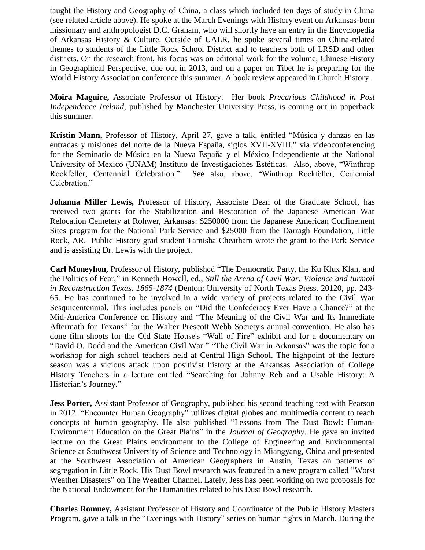taught the History and Geography of China, a class which included ten days of study in China (see related article above). He spoke at the March Evenings with History event on Arkansas-born missionary and anthropologist D.C. Graham, who will shortly have an entry in the Encyclopedia of Arkansas History & Culture. Outside of UALR, he spoke several times on China-related themes to students of the Little Rock School District and to teachers both of LRSD and other districts. On the research front, his focus was on editorial work for the volume, Chinese History in Geographical Perspective, due out in 2013, and on a paper on Tibet he is preparing for the World History Association conference this summer. A book review appeared in Church History.

**Moira Maguire,** Associate Professor of History. Her book *Precarious Childhood in Post Independence Ireland*, published by Manchester University Press, is coming out in paperback this summer.

**Kristin Mann,** Professor of History, April 27, gave a talk, entitled "Música y danzas en las entradas y misiones del norte de la Nueva España, siglos XVII-XVIII," via videoconferencing for the Seminario de Música en la Nueva España y el México Independiente at the National University of Mexico (UNAM) Instituto de Investigaciones Estéticas. Also, above, "Winthrop Rockfeller, Centennial Celebration." See also, above, "Winthrop Rockfeller, Centennial Celebration."

**Johanna Miller Lewis,** Professor of History, Associate Dean of the Graduate School, has received two grants for the Stabilization and Restoration of the Japanese American War Relocation Cemetery at Rohwer, Arkansas: \$250000 from the Japanese American Confinement Sites program for the National Park Service and \$25000 from the Darragh Foundation, Little Rock, AR. Public History grad student Tamisha Cheatham wrote the grant to the Park Service and is assisting Dr. Lewis with the project.

**Carl Moneyhon,** Professor of History, published "The Democratic Party, the Ku Klux Klan, and the Politics of Fear," in Kenneth Howell, ed., *Still the Arena of Civil War: Violence and turmoil in Reconstruction Texas. 1865-1874* (Denton: University of North Texas Press, 20120, pp. 243- 65. He has continued to be involved in a wide variety of projects related to the Civil War Sesquicentennial. This includes panels on "Did the Confederacy Ever Have a Chance?" at the Mid-America Conference on History and "The Meaning of the Civil War and Its Immediate Aftermath for Texans" for the Walter Prescott Webb Society's annual convention. He also has done film shoots for the Old State House's "Wall of Fire" exhibit and for a documentary on "David O. Dodd and the American Civil War." "The Civil War in Arkansas" was the topic for a workshop for high school teachers held at Central High School. The highpoint of the lecture season was a vicious attack upon positivist history at the Arkansas Association of College History Teachers in a lecture entitled "Searching for Johnny Reb and a Usable History: A Historian's Journey."

**Jess Porter,** Assistant Professor of Geography, published his second teaching text with Pearson in 2012. "Encounter Human Geography" utilizes digital globes and multimedia content to teach concepts of human geography. He also published "Lessons from The Dust Bowl: Human-Environment Education on the Great Plains" in the *Journal of Geography*. He gave an invited lecture on the Great Plains environment to the College of Engineering and Environmental Science at Southwest University of Science and Technology in Miangyang, China and presented at the Southwest Association of American Geographers in Austin, Texas on patterns of segregation in Little Rock. His Dust Bowl research was featured in a new program called "Worst Weather Disasters" on The Weather Channel. Lately, Jess has been working on two proposals for the National Endowment for the Humanities related to his Dust Bowl research.

**Charles Romney,** Assistant Professor of History and Coordinator of the Public History Masters Program, gave a talk in the "Evenings with History" series on human rights in March. During the